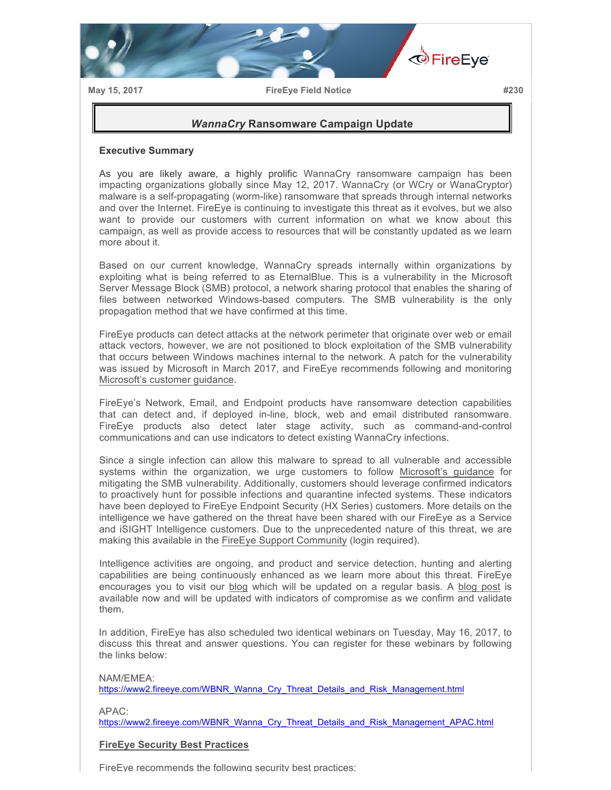

**May 15, 2017 FireEye Field Notice #230**

## *WannaCry* **Ransomware Campaign Update**

## **Executive Summary**

As you are likely aware, a highly prolific WannaCry ransomware campaign has been impacting organizations globally since May 12, 2017. WannaCry (or WCry or WanaCryptor) malware is a self-propagating (worm-like) ransomware that spreads through internal networks and over the Internet. FireEye is continuing to investigate this threat as it evolves, but we also want to provide our customers with current information on what we know about this campaign, as well as provide access to resources that will be constantly updated as we learn more about it.

Based on our current knowledge, WannaCry spreads internally within organizations by exploiting what is being referred to as EternalBlue. This is a vulnerability in the Microsoft Server Message Block (SMB) protocol, a network sharing protocol that enables the sharing of files between networked Windows-based computers. The SMB vulnerability is the only propagation method that we have confirmed at this time.

FireEye products can detect attacks at the network perimeter that originate over web or email attack vectors, however, we are not positioned to block exploitation of the SMB vulnerability that occurs between Windows machines internal to the network. A patch for the vulnerability was issued by Microsoft in March 2017, and FireEye recommends following and monitoring Microsoft's customer guidance.

FireEye's Network, Email, and Endpoint products have ransomware detection capabilities that can detect and, if deployed in-line, block, web and email distributed ransomware. FireEye products also detect later stage activity, such as command-and-control communications and can use indicators to detect existing WannaCry infections.

Since a single infection can allow this malware to spread to all vulnerable and accessible systems within the organization, we urge customers to follow Microsoft's guidance for mitigating the SMB vulnerability. Additionally, customers should leverage confirmed indicators to proactively hunt for possible infections and quarantine infected systems. These indicators have been deployed to FireEye Endpoint Security (HX Series) customers. More details on the intelligence we have gathered on the threat have been shared with our FireEye as a Service and iSIGHT Intelligence customers. Due to the unprecedented nature of this threat, we are making this available in the FireEye Support Community (login required).

Intelligence activities are ongoing, and product and service detection, hunting and alerting capabilities are being continuously enhanced as we learn more about this threat. FireEye encourages you to visit our blog which will be updated on a regular basis. A blog post is available now and will be updated with indicators of compromise as we confirm and validate them.

In addition, FireEye has also scheduled two identical webinars on Tuesday, May 16, 2017, to discuss this threat and answer questions. You can register for these webinars by following the links below:

NAM/EMEA:

https://www2.fireeye.com/WBNR\_Wanna\_Cry\_Threat\_Details\_and\_Risk\_Management.html

APAC:

https://www2.fireeye.com/WBNR\_Wanna\_Cry\_Threat\_Details\_and\_Risk\_Management\_APAC.html

## **FireEye Security Best Practices**

FireEye recommends the following security best practices: